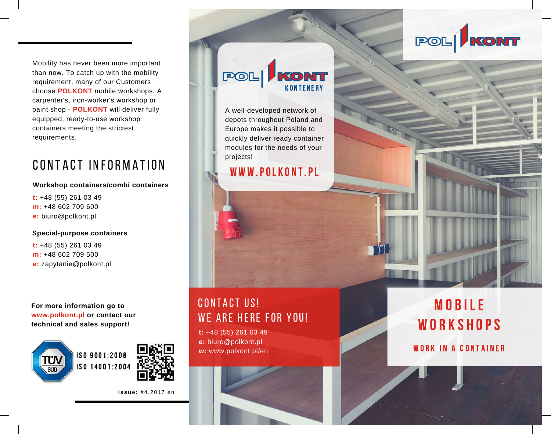Mobility has never been more important than now. To catch up with the mobility requirement, many of our Customers choose **POLKONT** mobile workshops. A carpenter's, iron-worker's workshop or paint shop - **POLKONT** will deliver fully equipped, ready-to-use workshop containers meeting the strictest requirements.

# CONTACT INFORMATION

#### **Workshop containers/combi containers**

**t:** +48 (55) 261 03 49 **m:** +48 602 709 600 **e:** biuro@polkont.pl

#### **Special-purpose containers**

**t:** +48 (55) 261 03 49 **m:** +48 602 709 500 **e:** zapytanie@polkont.pl

**For more information go to www.polkont.pl or contact our technical and sales support!**





**i s sue :** # 4 . 2 0 1 7 . e n

#### $POL$ KONT K O N TE N E R Y

A well-developed network of depots throughout Poland and Europe makes it possible to quickly deliver ready container modules for the needs of your projects!

### WWW.POLKONT.PL

## CONTACT US! WE ARE HERE FOR YOU!

**t:** +48 (55) 261 03 49 **e:** biuro@polkont.pl **w:** www.polkont.pl/en



# M O B I LE WORKSHOPS

POL KONT

### WORK IN A CONTAINER